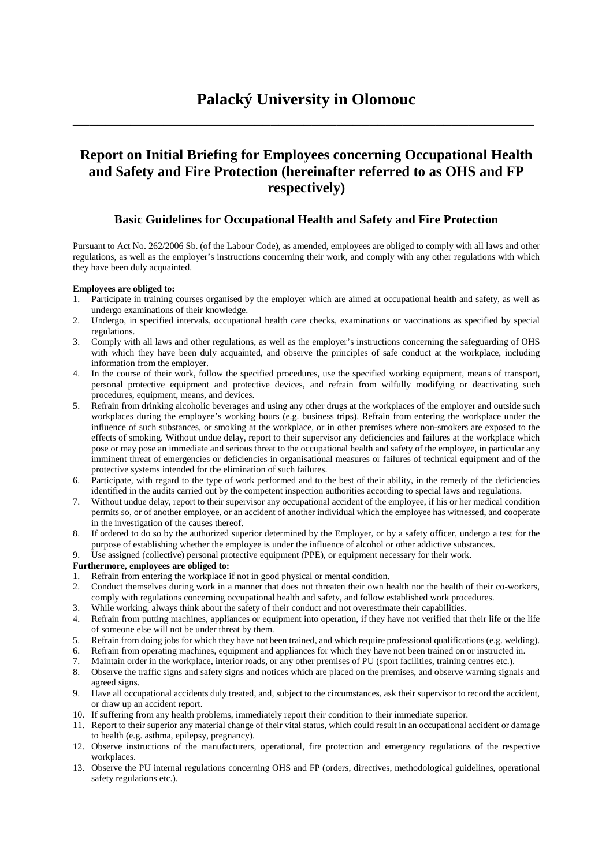**\_\_\_\_\_\_\_\_\_\_\_\_\_\_\_\_\_\_\_\_\_\_\_\_\_\_\_\_\_\_\_\_\_\_\_\_\_\_\_\_\_\_\_\_\_\_\_\_\_\_\_\_\_\_\_\_**

# **Report on Initial Briefing for Employees concerning Occupational Health and Safety and Fire Protection (hereinafter referred to as OHS and FP respectively)**

# **Basic Guidelines for Occupational Health and Safety and Fire Protection**

Pursuant to Act No. 262/2006 Sb. (of the Labour Code), as amended, employees are obliged to comply with all laws and other regulations, as well as the employer's instructions concerning their work, and comply with any other regulations with which they have been duly acquainted.

#### **Employees are obliged to:**

- 1. Participate in training courses organised by the employer which are aimed at occupational health and safety, as well as undergo examinations of their knowledge.
- 2. Undergo, in specified intervals, occupational health care checks, examinations or vaccinations as specified by special regulations.
- 3. Comply with all laws and other regulations, as well as the employer's instructions concerning the safeguarding of OHS with which they have been duly acquainted, and observe the principles of safe conduct at the workplace, including information from the employer.
- 4. In the course of their work, follow the specified procedures, use the specified working equipment, means of transport, personal protective equipment and protective devices, and refrain from wilfully modifying or deactivating such procedures, equipment, means, and devices.
- 5. Refrain from drinking alcoholic beverages and using any other drugs at the workplaces of the employer and outside such workplaces during the employee's working hours (e.g. business trips). Refrain from entering the workplace under the influence of such substances, or smoking at the workplace, or in other premises where non-smokers are exposed to the effects of smoking. Without undue delay, report to their supervisor any deficiencies and failures at the workplace which pose or may pose an immediate and serious threat to the occupational health and safety of the employee, in particular any imminent threat of emergencies or deficiencies in organisational measures or failures of technical equipment and of the protective systems intended for the elimination of such failures.
- 6. Participate, with regard to the type of work performed and to the best of their ability, in the remedy of the deficiencies identified in the audits carried out by the competent inspection authorities according to special laws and regulations.
- 7. Without undue delay, report to their supervisor any occupational accident of the employee, if his or her medical condition permits so, or of another employee, or an accident of another individual which the employee has witnessed, and cooperate in the investigation of the causes thereof.
- 8. If ordered to do so by the authorized superior determined by the Employer, or by a safety officer, undergo a test for the purpose of establishing whether the employee is under the influence of alcohol or other addictive substances.
- 9. Use assigned (collective) personal protective equipment (PPE), or equipment necessary for their work.

### **Furthermore, employees are obliged to:**

- 1. Refrain from entering the workplace if not in good physical or mental condition.
- 2. Conduct themselves during work in a manner that does not threaten their own health nor the health of their co-workers, comply with regulations concerning occupational health and safety, and follow established work procedures.
- 3. While working, always think about the safety of their conduct and not overestimate their capabilities.
- 4. Refrain from putting machines, appliances or equipment into operation, if they have not verified that their life or the life of someone else will not be under threat by them.
- 5. Refrain from doing jobs for which they have not been trained, and which require professional qualifications (e.g. welding).
- 6. Refrain from operating machines, equipment and appliances for which they have not been trained on or instructed in.
- 7. Maintain order in the workplace, interior roads, or any other premises of PU (sport facilities, training centres etc.).
- 8. Observe the traffic signs and safety signs and notices which are placed on the premises, and observe warning signals and agreed signs.
- 9. Have all occupational accidents duly treated, and, subject to the circumstances, ask their supervisor to record the accident, or draw up an accident report.
- 10. If suffering from any health problems, immediately report their condition to their immediate superior.
- 11. Report to their superior any material change of their vital status, which could result in an occupational accident or damage to health (e.g. asthma, epilepsy, pregnancy).
- 12. Observe instructions of the manufacturers, operational, fire protection and emergency regulations of the respective workplaces.
- 13. Observe the PU internal regulations concerning OHS and FP (orders, directives, methodological guidelines, operational safety regulations etc.).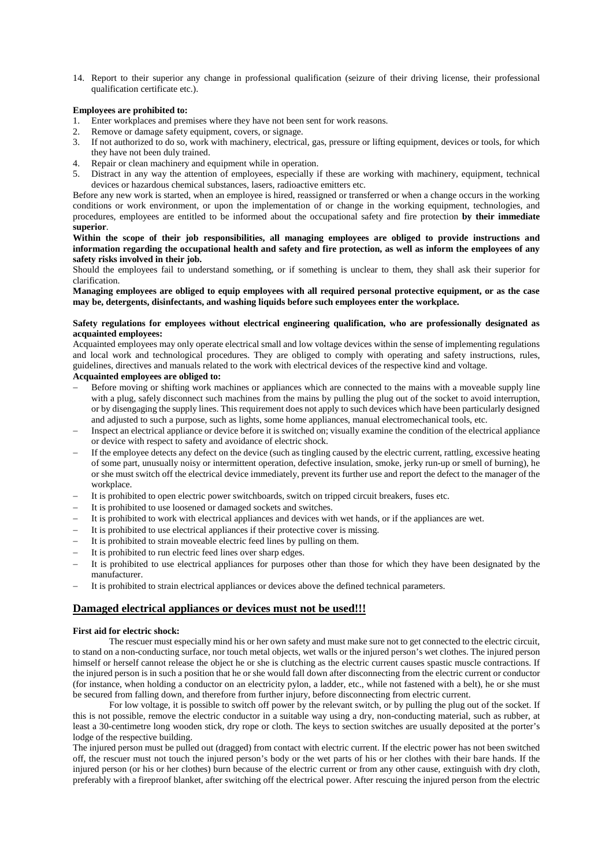14. Report to their superior any change in professional qualification (seizure of their driving license, their professional qualification certificate etc.).

#### **Employees are prohibited to:**

- Enter workplaces and premises where they have not been sent for work reasons.
- 2. Remove or damage safety equipment, covers, or signage.
- 3. If not authorized to do so, work with machinery, electrical, gas, pressure or lifting equipment, devices or tools, for which they have not been duly trained.
- 4. Repair or clean machinery and equipment while in operation.
- 5. Distract in any way the attention of employees, especially if these are working with machinery, equipment, technical devices or hazardous chemical substances, lasers, radioactive emitters etc.

Before any new work is started, when an employee is hired, reassigned or transferred or when a change occurs in the working conditions or work environment, or upon the implementation of or change in the working equipment, technologies, and procedures, employees are entitled to be informed about the occupational safety and fire protection **by their immediate superior**.

**Within the scope of their job responsibilities, all managing employees are obliged to provide instructions and information regarding the occupational health and safety and fire protection, as well as inform the employees of any safety risks involved in their job.**

Should the employees fail to understand something, or if something is unclear to them, they shall ask their superior for clarification.

**Managing employees are obliged to equip employees with all required personal protective equipment, or as the case may be, detergents, disinfectants, and washing liquids before such employees enter the workplace.**

#### **Safety regulations for employees without electrical engineering qualification, who are professionally designated as acquainted employees:**

Acquainted employees may only operate electrical small and low voltage devices within the sense of implementing regulations and local work and technological procedures. They are obliged to comply with operating and safety instructions, rules, guidelines, directives and manuals related to the work with electrical devices of the respective kind and voltage.

#### **Acquainted employees are obliged to:**

- Before moving or shifting work machines or appliances which are connected to the mains with a moveable supply line with a plug, safely disconnect such machines from the mains by pulling the plug out of the socket to avoid interruption, or by disengaging the supply lines. This requirement does not apply to such devices which have been particularly designed and adjusted to such a purpose, such as lights, some home appliances, manual electromechanical tools, etc.
- Inspect an electrical appliance or device before it is switched on; visually examine the condition of the electrical appliance or device with respect to safety and avoidance of electric shock.
- If the employee detects any defect on the device (such as tingling caused by the electric current, rattling, excessive heating of some part, unusually noisy or intermittent operation, defective insulation, smoke, jerky run-up or smell of burning), he or she must switch off the electrical device immediately, prevent its further use and report the defect to the manager of the workplace.
- It is prohibited to open electric power switchboards, switch on tripped circuit breakers, fuses etc.
- It is prohibited to use loosened or damaged sockets and switches.
- − It is prohibited to work with electrical appliances and devices with wet hands, or if the appliances are wet.
- It is prohibited to use electrical appliances if their protective cover is missing.
- It is prohibited to strain moveable electric feed lines by pulling on them.
- It is prohibited to run electric feed lines over sharp edges.
- − It is prohibited to use electrical appliances for purposes other than those for which they have been designated by the manufacturer.
- It is prohibited to strain electrical appliances or devices above the defined technical parameters.

### **Damaged electrical appliances or devices must not be used!!!**

#### **First aid for electric shock:**

 The rescuer must especially mind his or her own safety and must make sure not to get connected to the electric circuit, to stand on a non-conducting surface, nor touch metal objects, wet walls or the injured person's wet clothes. The injured person himself or herself cannot release the object he or she is clutching as the electric current causes spastic muscle contractions. If the injured person is in such a position that he or she would fall down after disconnecting from the electric current or conductor (for instance, when holding a conductor on an electricity pylon, a ladder, etc., while not fastened with a belt), he or she must be secured from falling down, and therefore from further injury, before disconnecting from electric current.

For low voltage, it is possible to switch off power by the relevant switch, or by pulling the plug out of the socket. If this is not possible, remove the electric conductor in a suitable way using a dry, non-conducting material, such as rubber, at least a 30-centimetre long wooden stick, dry rope or cloth. The keys to section switches are usually deposited at the porter's lodge of the respective building.

The injured person must be pulled out (dragged) from contact with electric current. If the electric power has not been switched off, the rescuer must not touch the injured person's body or the wet parts of his or her clothes with their bare hands. If the injured person (or his or her clothes) burn because of the electric current or from any other cause, extinguish with dry cloth, preferably with a fireproof blanket, after switching off the electrical power. After rescuing the injured person from the electric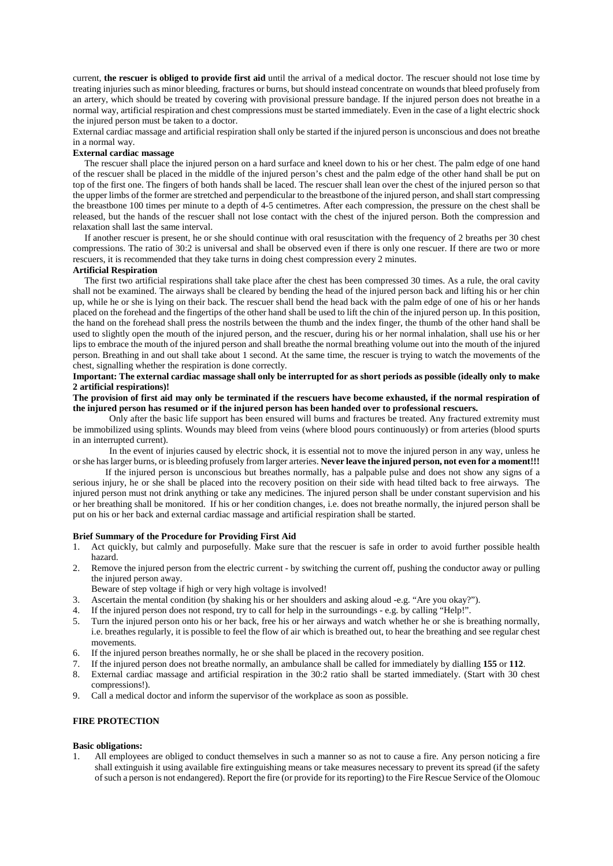current, **the rescuer is obliged to provide first aid** until the arrival of a medical doctor. The rescuer should not lose time by treating injuries such as minor bleeding, fractures or burns, but should instead concentrate on wounds that bleed profusely from an artery, which should be treated by covering with provisional pressure bandage. If the injured person does not breathe in a normal way, artificial respiration and chest compressions must be started immediately. Even in the case of a light electric shock the injured person must be taken to a doctor.

External cardiac massage and artificial respiration shall only be started if the injured person is unconscious and does not breathe in a normal way.

## **External cardiac massage**

 The rescuer shall place the injured person on a hard surface and kneel down to his or her chest. The palm edge of one hand of the rescuer shall be placed in the middle of the injured person's chest and the palm edge of the other hand shall be put on top of the first one. The fingers of both hands shall be laced. The rescuer shall lean over the chest of the injured person so that the upper limbs of the former are stretched and perpendicular to the breastbone of the injured person, and shall start compressing the breastbone 100 times per minute to a depth of 4-5 centimetres. After each compression, the pressure on the chest shall be released, but the hands of the rescuer shall not lose contact with the chest of the injured person. Both the compression and relaxation shall last the same interval.

 If another rescuer is present, he or she should continue with oral resuscitation with the frequency of 2 breaths per 30 chest compressions. The ratio of 30:2 is universal and shall be observed even if there is only one rescuer. If there are two or more rescuers, it is recommended that they take turns in doing chest compression every 2 minutes.

#### **Artificial Respiration**

 The first two artificial respirations shall take place after the chest has been compressed 30 times. As a rule, the oral cavity shall not be examined. The airways shall be cleared by bending the head of the injured person back and lifting his or her chin up, while he or she is lying on their back. The rescuer shall bend the head back with the palm edge of one of his or her hands placed on the forehead and the fingertips of the other hand shall be used to lift the chin of the injured person up. In this position, the hand on the forehead shall press the nostrils between the thumb and the index finger, the thumb of the other hand shall be used to slightly open the mouth of the injured person, and the rescuer, during his or her normal inhalation, shall use his or her lips to embrace the mouth of the injured person and shall breathe the normal breathing volume out into the mouth of the injured person. Breathing in and out shall take about 1 second. At the same time, the rescuer is trying to watch the movements of the chest, signalling whether the respiration is done correctly.

#### **Important: The external cardiac massage shall only be interrupted for as short periods as possible (ideally only to make 2 artificial respirations)!**

#### **The provision of first aid may only be terminated if the rescuers have become exhausted, if the normal respiration of the injured person has resumed or if the injured person has been handed over to professional rescuers.**

Only after the basic life support has been ensured will burns and fractures be treated. Any fractured extremity must be immobilized using splints. Wounds may bleed from veins (where blood pours continuously) or from arteries (blood spurts in an interrupted current).

In the event of injuries caused by electric shock, it is essential not to move the injured person in any way, unless he or she has larger burns, or is bleeding profusely from larger arteries. **Never leave the injured person, not even for a moment!!!**

If the injured person is unconscious but breathes normally, has a palpable pulse and does not show any signs of a serious injury, he or she shall be placed into the recovery position on their side with head tilted back to free airways. The injured person must not drink anything or take any medicines. The injured person shall be under constant supervision and his or her breathing shall be monitored. If his or her condition changes, i.e. does not breathe normally, the injured person shall be put on his or her back and external cardiac massage and artificial respiration shall be started.

#### **Brief Summary of the Procedure for Providing First Aid**

- 1. Act quickly, but calmly and purposefully. Make sure that the rescuer is safe in order to avoid further possible health hazard.
- 2. Remove the injured person from the electric current by switching the current off, pushing the conductor away or pulling the injured person away.

Beware of step voltage if high or very high voltage is involved!

- 3. Ascertain the mental condition (by shaking his or her shoulders and asking aloud -e.g. "Are you okay?").
- 4. If the injured person does not respond, try to call for help in the surroundings e.g. by calling "Help!".
- 5. Turn the injured person onto his or her back, free his or her airways and watch whether he or she is breathing normally, i.e. breathes regularly, it is possible to feel the flow of air which is breathed out, to hear the breathing and see regular chest movements.
- 6. If the injured person breathes normally, he or she shall be placed in the recovery position.
- 7. If the injured person does not breathe normally, an ambulance shall be called for immediately by dialling **155** or **112**.
- 8. External cardiac massage and artificial respiration in the 30:2 ratio shall be started immediately. (Start with 30 chest compressions!).
- 9. Call a medical doctor and inform the supervisor of the workplace as soon as possible.

#### **FIRE PROTECTION**

#### **Basic obligations:**

1. All employees are obliged to conduct themselves in such a manner so as not to cause a fire. Any person noticing a fire shall extinguish it using available fire extinguishing means or take measures necessary to prevent its spread (if the safety of such a person is not endangered). Report the fire (or provide for its reporting) to the Fire Rescue Service of the Olomouc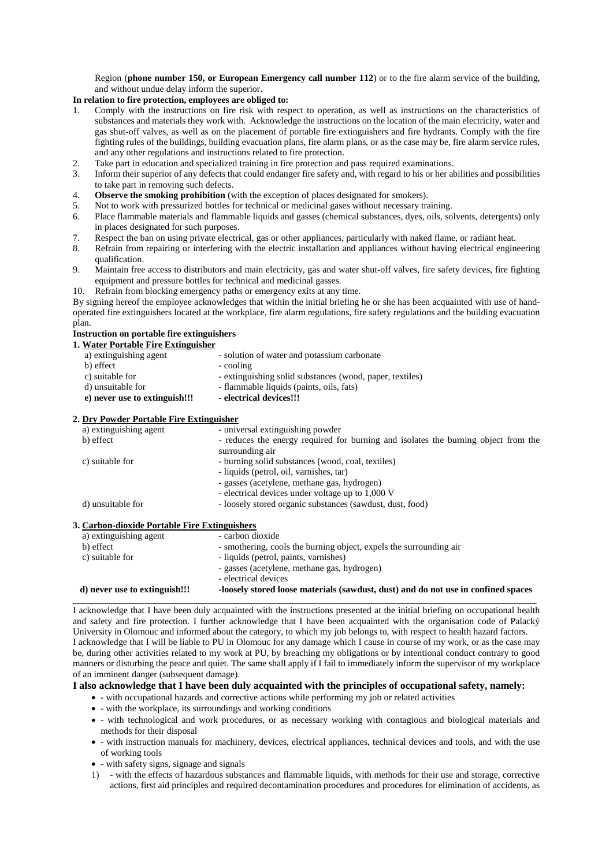Region (**phone number 150, or European Emergency call number 112**) or to the fire alarm service of the building, and without undue delay inform the superior.

# **In relation to fire protection, employees are obliged to:**

- 1. Comply with the instructions on fire risk with respect to operation, as well as instructions on the characteristics of substances and materials they work with. Acknowledge the instructions on the location of the main electricity, water and gas shut-off valves, as well as on the placement of portable fire extinguishers and fire hydrants. Comply with the fire fighting rules of the buildings, building evacuation plans, fire alarm plans, or as the case may be, fire alarm service rules, and any other regulations and instructions related to fire protection.
- 2. Take part in education and specialized training in fire protection and pass required examinations.
- 3. Inform their superior of any defects that could endanger fire safety and, with regard to his or her abilities and possibilities to take part in removing such defects.
- 4. **Observe the smoking prohibition** (with the exception of places designated for smokers).
- 5. Not to work with pressurized bottles for technical or medicinal gases without necessary training.
- 6. Place flammable materials and flammable liquids and gasses (chemical substances, dyes, oils, solvents, detergents) only in places designated for such purposes.
- 7. Respect the ban on using private electrical, gas or other appliances, particularly with naked flame, or radiant heat.
- 8. Refrain from repairing or interfering with the electric installation and appliances without having electrical engineering qualification.
- 9. Maintain free access to distributors and main electricity, gas and water shut-off valves, fire safety devices, fire fighting equipment and pressure bottles for technical and medicinal gasses.
- 10. Refrain from blocking emergency paths or emergency exits at any time.

By signing hereof the employee acknowledges that within the initial briefing he or she has been acquainted with use of handoperated fire extinguishers located at the workplace, fire alarm regulations, fire safety regulations and the building evacuation plan.

#### **Instruction on portable fire extinguishers**

**1. Water Portable Fire Extinguisher**

| a) extinguishing agent                   | - solution of water and potassium carbonate                                                           |
|------------------------------------------|-------------------------------------------------------------------------------------------------------|
| b) effect                                | - cooling                                                                                             |
| c) suitable for                          | - extinguishing solid substances (wood, paper, textiles)                                              |
| d) unsuitable for                        | - flammable liquids (paints, oils, fats)                                                              |
| e) never use to extinguish!!!            | - electrical devices!!!                                                                               |
| 2. Dry Powder Portable Fire Extinguisher |                                                                                                       |
| a) extinguishing agent                   | - universal extinguishing powder                                                                      |
|                                          |                                                                                                       |
| b) effect                                | - reduces the energy required for burning and isolates the burning object from the<br>surrounding air |
| c) suitable for                          | - burning solid substances (wood, coal, textiles)                                                     |

- liquids (petrol, oil, varnishes, tar)
	- gasses (acetylene, methane gas, hydrogen)
	- electrical devices under voltage up to 1,000 V
- d) unsuitable for loosely stored organic substances (sawdust, dust, food)

#### **3. Carbon-dioxide Portable Fire Extinguishers**

| a) extinguishing agent        | - carbon dioxide                                                                  |
|-------------------------------|-----------------------------------------------------------------------------------|
| b) effect                     | - smothering, cools the burning object, expels the surrounding air                |
| c) suitable for               | - liquids (petrol, paints, varnishes)                                             |
|                               | - gasses (acetylene, methane gas, hydrogen)                                       |
|                               | - electrical devices                                                              |
| d) never use to extinguish!!! | -loosely stored loose materials (sawdust, dust) and do not use in confined spaces |

I acknowledge that I have been duly acquainted with the instructions presented at the initial briefing on occupational health and safety and fire protection. I further acknowledge that I have been acquainted with the organisation code of Palacký University in Olomouc and informed about the category, to which my job belongs to, with respect to health hazard factors. I acknowledge that I will be liable to PU in Olomouc for any damage which I cause in course of my work, or as the case may be, during other activities related to my work at PU, by breaching my obligations or by intentional conduct contrary to good manners or disturbing the peace and quiet. The same shall apply if I fail to immediately inform the supervisor of my workplace of an imminent danger (subsequent damage).

#### **I also acknowledge that I have been duly acquainted with the principles of occupational safety, namely:**

- - with occupational hazards and corrective actions while performing my job or related activities
- - with the workplace, its surroundings and working conditions
- - with technological and work procedures, or as necessary working with contagious and biological materials and methods for their disposal
- - with instruction manuals for machinery, devices, electrical appliances, technical devices and tools, and with the use of working tools
- - with safety signs, signage and signals
- 1) with the effects of hazardous substances and flammable liquids, with methods for their use and storage, corrective actions, first aid principles and required decontamination procedures and procedures for elimination of accidents, as